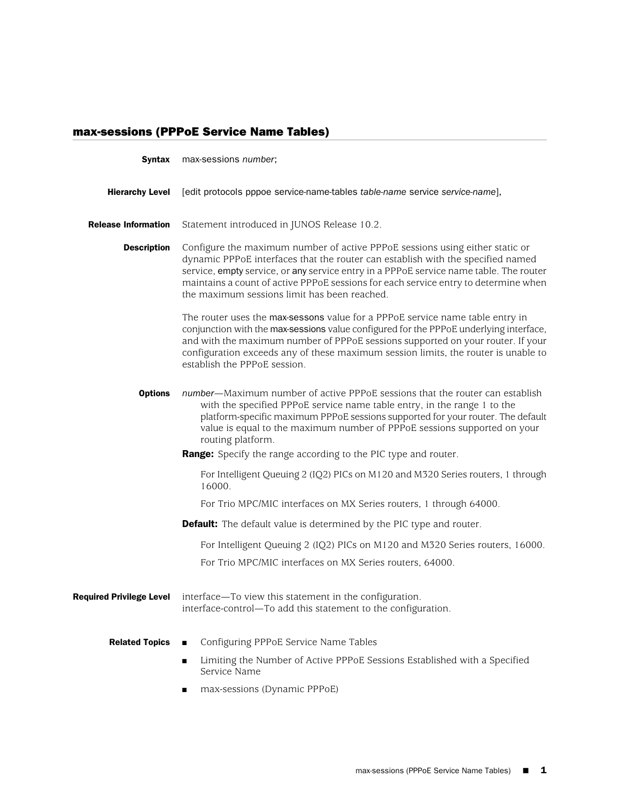## max-sessions (PPPoE Service Name Tables)

| <b>Syntax</b>                   | max-sessions number;                                                                                                                                                                                                                                                                                                                                                                                           |
|---------------------------------|----------------------------------------------------------------------------------------------------------------------------------------------------------------------------------------------------------------------------------------------------------------------------------------------------------------------------------------------------------------------------------------------------------------|
| <b>Hierarchy Level</b>          | [edit protocols pppoe service-name-tables table-name service service-name],                                                                                                                                                                                                                                                                                                                                    |
| <b>Release Information</b>      | Statement introduced in JUNOS Release 10.2.                                                                                                                                                                                                                                                                                                                                                                    |
| <b>Description</b>              | Configure the maximum number of active PPPoE sessions using either static or<br>dynamic PPPoE interfaces that the router can establish with the specified named<br>service, empty service, or any service entry in a PPPoE service name table. The router<br>maintains a count of active PPPoE sessions for each service entry to determine when<br>the maximum sessions limit has been reached.               |
|                                 | The router uses the max-sessons value for a PPPoE service name table entry in<br>conjunction with the max-sessions value configured for the PPPoE underlying interface,<br>and with the maximum number of PPPoE sessions supported on your router. If your<br>configuration exceeds any of these maximum session limits, the router is unable to<br>establish the PPPoE session.                               |
| <b>Options</b>                  | number—Maximum number of active PPPoE sessions that the router can establish<br>with the specified PPPoE service name table entry, in the range 1 to the<br>platform-specific maximum PPPoE sessions supported for your router. The default<br>value is equal to the maximum number of PPPoE sessions supported on your<br>routing platform.<br>Range: Specify the range according to the PIC type and router. |
|                                 |                                                                                                                                                                                                                                                                                                                                                                                                                |
|                                 | For Intelligent Queuing 2 (IQ2) PICs on M120 and M320 Series routers, 1 through<br>16000.                                                                                                                                                                                                                                                                                                                      |
|                                 | For Trio MPC/MIC interfaces on MX Series routers, 1 through 64000.                                                                                                                                                                                                                                                                                                                                             |
|                                 | <b>Default:</b> The default value is determined by the PIC type and router.                                                                                                                                                                                                                                                                                                                                    |
|                                 | For Intelligent Queuing 2 (IQ2) PICs on M120 and M320 Series routers, 16000.                                                                                                                                                                                                                                                                                                                                   |
|                                 | For Trio MPC/MIC interfaces on MX Series routers, 64000.                                                                                                                                                                                                                                                                                                                                                       |
| <b>Required Privilege Level</b> | interface—To view this statement in the configuration.<br>interface-control—To add this statement to the configuration.                                                                                                                                                                                                                                                                                        |
| <b>Related Topics</b>           | Configuring PPPoE Service Name Tables                                                                                                                                                                                                                                                                                                                                                                          |
|                                 | Limiting the Number of Active PPPoE Sessions Established with a Specified<br>Service Name                                                                                                                                                                                                                                                                                                                      |
|                                 | max-sessions (Dynamic PPPoE)<br>п                                                                                                                                                                                                                                                                                                                                                                              |